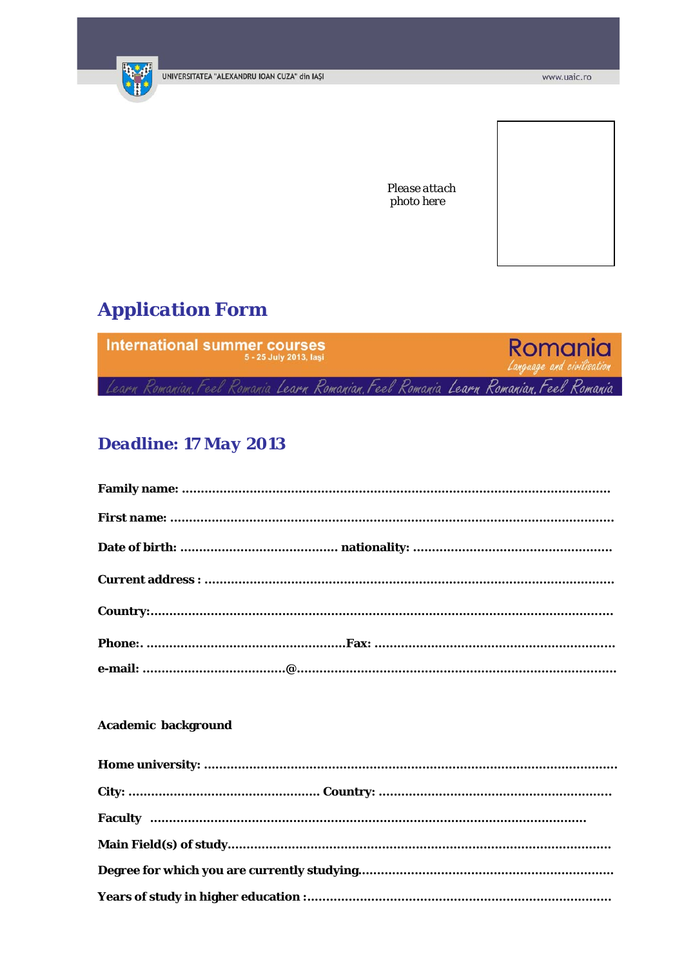

Please attach photo here

# **Application Form**



# **Deadline: 17 May 2013**

## **Academic background**